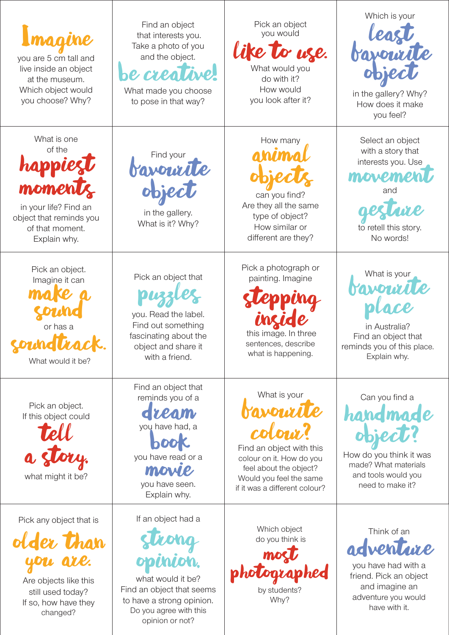| Imagine<br>you are 5 cm tall and<br>live inside an object<br>at the museum.<br>Which object would<br>you choose? Why?               | Find an object<br>that interests you.<br>Take a photo of you<br>and the object.<br><b>be crea</b><br>What made you choose<br>to pose in that way? | Pick an object<br>you would<br>like to use.<br>What would you<br>do with it?<br>How would<br>you look after it?                                                                         | Which is your<br>in the gallery? Why?<br>How does it make<br>you feel?                                                              |
|-------------------------------------------------------------------------------------------------------------------------------------|---------------------------------------------------------------------------------------------------------------------------------------------------|-----------------------------------------------------------------------------------------------------------------------------------------------------------------------------------------|-------------------------------------------------------------------------------------------------------------------------------------|
| What is one<br>of the<br>happ<br>momen<br>in your life? Find an<br>object that reminds you<br>of that moment.<br>Explain why.       | Find your<br>bavourite<br>in the gallery.<br>What is it? Why?                                                                                     | How many<br>ahima<br>can you find?<br>Are they all the same<br>type of object?<br>How similar or<br>different are they?                                                                 | Select an object<br>with a story that<br>interests you. Use<br>movement<br>and<br>to retell this story.<br>No words!                |
| Pick an object.<br>Imagine it can<br>or has a<br>$\overline{a}$<br>NGWACK.<br>What would it be?                                     | Pick an object that<br>you. Read the label.<br>Find out something<br>fascinating about the<br>object and share it<br>with a friend.               | Pick a photograph or<br>painting. Imagine<br>this image. In three<br>sentences, describe<br>what is happening.                                                                          | What is your<br><b>Mayouril</b><br>in Australia?<br>Find an object that<br>reminds you of this place.<br>Explain why.               |
| Pick an object.<br>If this object could<br>Tell<br>a story.<br>what might it be?                                                    | Find an object that<br>reminds you of a<br>dream<br>you have had, a<br>book<br>you have read or a<br>morre<br>you have seen.<br>Explain why.      | What is your<br><b>AMOLIXA</b><br>colour?<br>Find an object with this<br>colour on it. How do you<br>feel about the object?<br>Would you feel the same<br>if it was a different colour? | Can you find a<br>handmade<br>object?<br>How do you think it was<br>made? What materials<br>and tools would you<br>need to make it? |
| Pick any object that is<br>older than<br>you are.<br>Are objects like this<br>still used today?<br>If so, how have they<br>changed? | If an object had a<br>Strong<br>opinion.<br>what would it be?<br>Find an object that seems<br>to have a strong opinion.<br>Do you agree with this | Which object<br>do you think is<br>mocl<br>photograp<br>hed<br>by students?<br>Why?                                                                                                     | Think of an<br>adventure<br>you have had with a<br>friend. Pick an object<br>and imagine an<br>adventure you would<br>have with it. |

opinion or not?